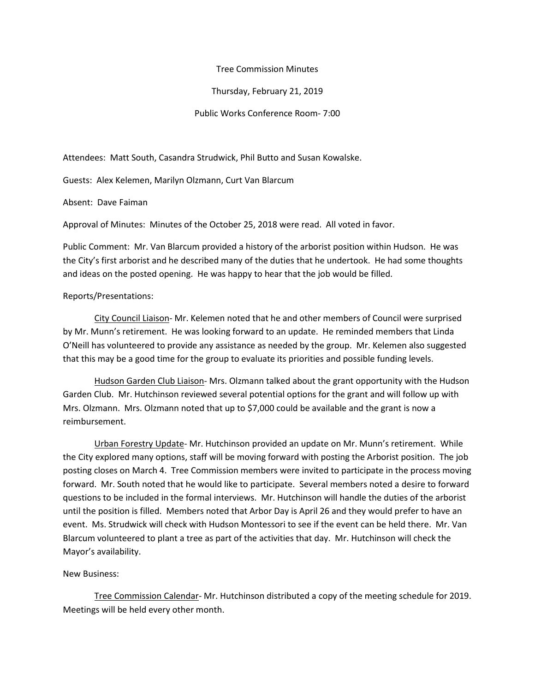## Tree Commission Minutes

Thursday, February 21, 2019

Public Works Conference Room- 7:00

Attendees: Matt South, Casandra Strudwick, Phil Butto and Susan Kowalske.

Guests: Alex Kelemen, Marilyn Olzmann, Curt Van Blarcum

Absent: Dave Faiman

Approval of Minutes: Minutes of the October 25, 2018 were read. All voted in favor.

Public Comment: Mr. Van Blarcum provided a history of the arborist position within Hudson. He was the City's first arborist and he described many of the duties that he undertook. He had some thoughts and ideas on the posted opening. He was happy to hear that the job would be filled.

## Reports/Presentations:

City Council Liaison- Mr. Kelemen noted that he and other members of Council were surprised by Mr. Munn's retirement. He was looking forward to an update. He reminded members that Linda O'Neill has volunteered to provide any assistance as needed by the group. Mr. Kelemen also suggested that this may be a good time for the group to evaluate its priorities and possible funding levels.

Hudson Garden Club Liaison- Mrs. Olzmann talked about the grant opportunity with the Hudson Garden Club. Mr. Hutchinson reviewed several potential options for the grant and will follow up with Mrs. Olzmann. Mrs. Olzmann noted that up to \$7,000 could be available and the grant is now a reimbursement.

Urban Forestry Update- Mr. Hutchinson provided an update on Mr. Munn's retirement. While the City explored many options, staff will be moving forward with posting the Arborist position. The job posting closes on March 4. Tree Commission members were invited to participate in the process moving forward. Mr. South noted that he would like to participate. Several members noted a desire to forward questions to be included in the formal interviews. Mr. Hutchinson will handle the duties of the arborist until the position is filled. Members noted that Arbor Day is April 26 and they would prefer to have an event. Ms. Strudwick will check with Hudson Montessori to see if the event can be held there. Mr. Van Blarcum volunteered to plant a tree as part of the activities that day. Mr. Hutchinson will check the Mayor's availability.

## New Business:

Tree Commission Calendar- Mr. Hutchinson distributed a copy of the meeting schedule for 2019. Meetings will be held every other month.